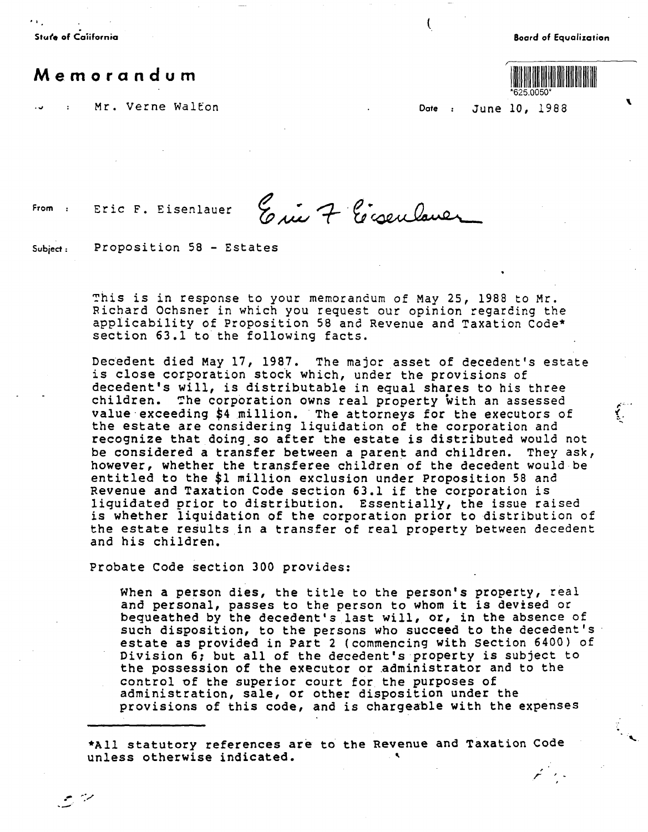**Stur'e of Caiifornia** 

**Boord of Equalization** 

**'** 

*,:·· ..*  ل<br>معاشر



, *r* ,

**Memorandum** 

Mr. Verne Walton **Date Date June 10, 1988** 

 $\overline{\mathcal{C}}$ 

From : Eric F. Eisenlauer

.- *-:.,,,.*  --·

Eric 7 Eisenlaner

**Subject:** Proposition 58 - Estates

~his is in response to your memorandum of May 25, 1988 to Mr. Richard Ochsner in which you request our opinion regarding the applicability of Proposition 58 and Revenue and Taxation Code\* section 63.l to the following facts.

Decedent died May 17, 1987. The major asset of decedent's estate is close corporation stock which, under the provisions of decedent's will, is distributable in equal shares to his three children. The corporation owns real property with an assessed value exceeding \$4 million. The attorneys for the executors of the estate are considering liquidation of the corporation and recognize that doing.so after the estate is distributed would not be considered a transfer between a parent and children. They ask, however, whether the transferee children of the decedent would be entitled to the \$1 million exclusion under Proposition 58 and Revenue and Taxation Code section 63.l if the corporation is liquidated prior to distribution. Essentially, the issue raised is whether liquidation of the corporation prior to distribution of the estate results in a transfer of real property between decedent and his children.

Probate Code section 300 provides:

When a person dies, the title to the person's property, real and personal, passes to the person to whom it is devised or bequeathed by the decedent's last will, or, in the absence of such disposition, to the persons who succeed to the decedent's estate as provided in Part 2 (commencing with section 6400) of Division 6; but all of the decedent's property is subject to the possession of the executor or administrator and to the control of the superior court for the purposes of administration, sale, or other disposition under the provisions of this code, and is chargeable with the expenses

\*All statutory references are to the Revenue and Taxation Code unless otherwise indicated.